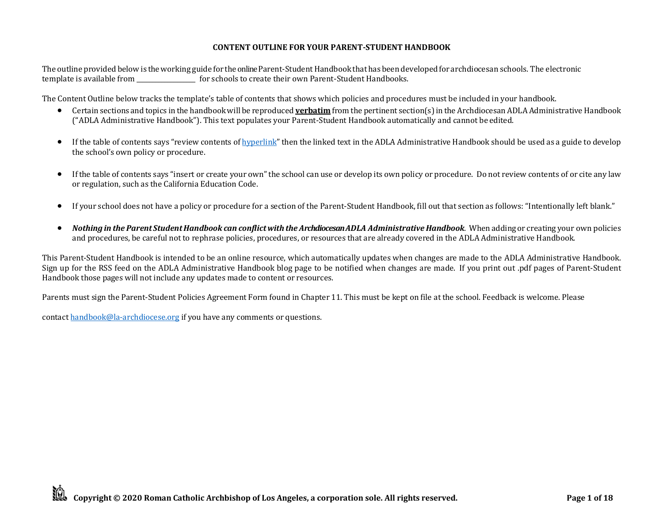## **CONTENT OUTLINE FOR YOUR PARENT-STUDENT HANDBOOK**

The outline provided below is theworking guide for the online Parent-StudentHandbook that has beendevelopedfor archdiocesan schools. The electronic template is available from \_\_\_\_\_\_\_\_\_\_\_\_\_\_\_\_\_\_\_ for schools to create their own Parent-Student Handbooks.

The Content Outline below tracks the template's table of contents that shows which policies and procedures must be included in your handbook.

- Certain sections and topics in the handbook will be reproduced **verbatim** from the pertinent section(s) in the Archdiocesan ADLA Administrative Handbook ("ADLA Administrative Handbook"). This text populates your Parent-Student Handbook automatically and cannot be edited.
- If the table of contents says "review contents of [hyperlink](http://handbook.la-archdiocese.org/)" then the linked text in the ADLA Administrative Handbook should be used as a guide to develop the school's own policy or procedure.
- If the table of contents says "insert or create your own" the school can use or develop its own policy or procedure. Do not review contents of or cite any law or regulation, such as the California Education Code.
- If your school does not have a policy or procedure for a section of the Parent-Student Handbook, fill out that section as follows: "Intentionally left blank."
- Nothing in the Parent Student Handbook can conflict with the Archdiocesan ADLA Administrative Handbook. When adding or creating your own policies and procedures, be careful not to rephrase policies, procedures, or resources that are already covered in the ADLA Administrative Handbook.

This Parent-Student Handbook is intended to be an online resource, which automatically updates when changes are made to the ADLA Administrative Handbook. Sign up for the RSS feed on the ADLA Administrative Handbook blog page to be notified when changes are made. If you print out .pdf pages of Parent-Student Handbook those pages will not include any updates made to content or resources.

Parents must sign the Parent-Student Policies Agreement Form found in Chapter 11. This must be kept on file at the school. Feedback is welcome. Please

contac[t handbook@la-archdiocese.org](mailto:handbook@la-archdiocese.org) if you have any comments or questions.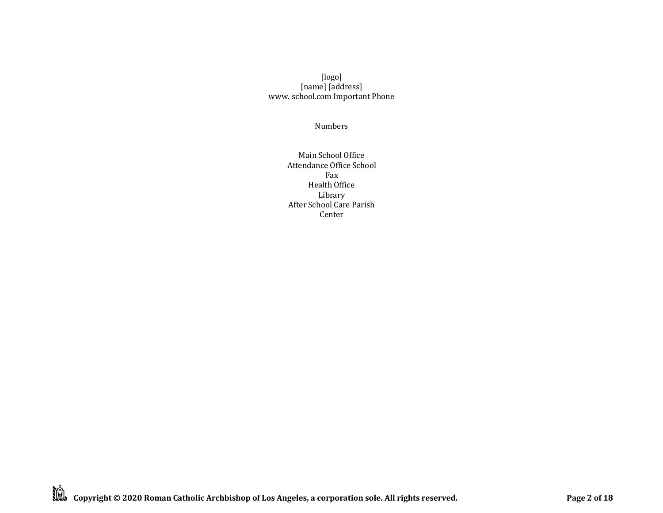## [logo] [name] [address] [www. s](http://www/)chool.com Important Phone

Numbers

Main School Office Attendance Office School Fax Health Office Library After School Care Parish Center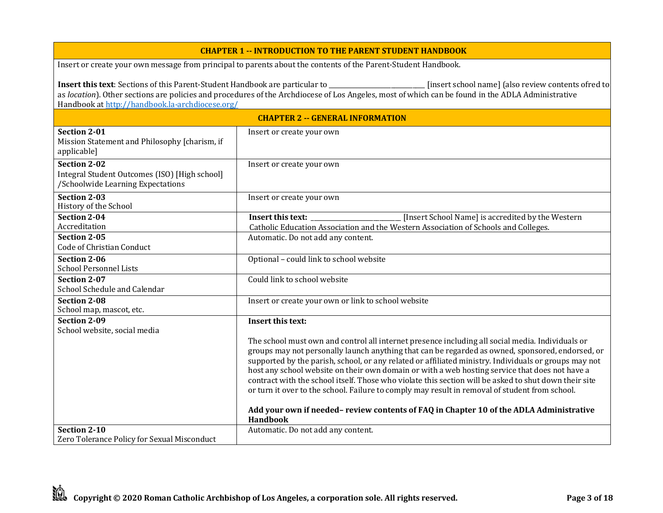## **CHAPTER 1 -- INTRODUCTION TO THE PARENT STUDENT HANDBOOK**

Insert or create your own message from principal to parents about the contents of the Parent-Student Handbook.

| <b>Insert this text</b> : Sections of this Parent-Student Handbook are particular to<br>[insert school name] (also review contents ofred to<br>as location). Other sections are policies and procedures of the Archdiocese of Los Angeles, most of which can be found in the ADLA Administrative |                                                                                                                                                                                                                                                                                                                                                                                                                                                                                                                                                                                                                                                                                                                      |
|--------------------------------------------------------------------------------------------------------------------------------------------------------------------------------------------------------------------------------------------------------------------------------------------------|----------------------------------------------------------------------------------------------------------------------------------------------------------------------------------------------------------------------------------------------------------------------------------------------------------------------------------------------------------------------------------------------------------------------------------------------------------------------------------------------------------------------------------------------------------------------------------------------------------------------------------------------------------------------------------------------------------------------|
| Handbook at http://handbook.la-archdiocese.org/                                                                                                                                                                                                                                                  |                                                                                                                                                                                                                                                                                                                                                                                                                                                                                                                                                                                                                                                                                                                      |
|                                                                                                                                                                                                                                                                                                  | <b>CHAPTER 2 -- GENERAL INFORMATION</b>                                                                                                                                                                                                                                                                                                                                                                                                                                                                                                                                                                                                                                                                              |
| <b>Section 2-01</b><br>Mission Statement and Philosophy [charism, if<br>applicable]                                                                                                                                                                                                              | Insert or create your own                                                                                                                                                                                                                                                                                                                                                                                                                                                                                                                                                                                                                                                                                            |
| <b>Section 2-02</b><br>Integral Student Outcomes (ISO) [High school]<br>/Schoolwide Learning Expectations                                                                                                                                                                                        | Insert or create your own                                                                                                                                                                                                                                                                                                                                                                                                                                                                                                                                                                                                                                                                                            |
| <b>Section 2-03</b><br>History of the School                                                                                                                                                                                                                                                     | Insert or create your own                                                                                                                                                                                                                                                                                                                                                                                                                                                                                                                                                                                                                                                                                            |
| Section 2-04<br>Accreditation<br>Section 2-05                                                                                                                                                                                                                                                    | [Insert School Name] is accredited by the Western<br>Insert this text:<br>Catholic Education Association and the Western Association of Schools and Colleges.<br>Automatic. Do not add any content.                                                                                                                                                                                                                                                                                                                                                                                                                                                                                                                  |
| Code of Christian Conduct                                                                                                                                                                                                                                                                        |                                                                                                                                                                                                                                                                                                                                                                                                                                                                                                                                                                                                                                                                                                                      |
| Section 2-06<br><b>School Personnel Lists</b>                                                                                                                                                                                                                                                    | Optional - could link to school website                                                                                                                                                                                                                                                                                                                                                                                                                                                                                                                                                                                                                                                                              |
| Section 2-07<br>School Schedule and Calendar                                                                                                                                                                                                                                                     | Could link to school website                                                                                                                                                                                                                                                                                                                                                                                                                                                                                                                                                                                                                                                                                         |
| <b>Section 2-08</b><br>School map, mascot, etc.                                                                                                                                                                                                                                                  | Insert or create your own or link to school website                                                                                                                                                                                                                                                                                                                                                                                                                                                                                                                                                                                                                                                                  |
| Section 2-09<br>School website, social media                                                                                                                                                                                                                                                     | Insert this text:                                                                                                                                                                                                                                                                                                                                                                                                                                                                                                                                                                                                                                                                                                    |
|                                                                                                                                                                                                                                                                                                  | The school must own and control all internet presence including all social media. Individuals or<br>groups may not personally launch anything that can be regarded as owned, sponsored, endorsed, or<br>supported by the parish, school, or any related or affiliated ministry. Individuals or groups may not<br>host any school website on their own domain or with a web hosting service that does not have a<br>contract with the school itself. Those who violate this section will be asked to shut down their site<br>or turn it over to the school. Failure to comply may result in removal of student from school.<br>Add your own if needed-review contents of FAQ in Chapter 10 of the ADLA Administrative |
|                                                                                                                                                                                                                                                                                                  | <b>Handbook</b>                                                                                                                                                                                                                                                                                                                                                                                                                                                                                                                                                                                                                                                                                                      |
| Section 2-10<br>Zero Tolerance Policy for Sexual Misconduct                                                                                                                                                                                                                                      | Automatic. Do not add any content.                                                                                                                                                                                                                                                                                                                                                                                                                                                                                                                                                                                                                                                                                   |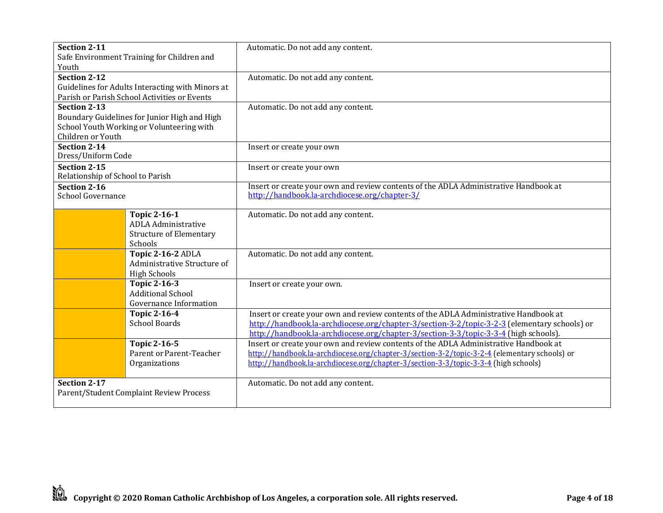| Section 2-11                     | Safe Environment Training for Children and       | Automatic. Do not add any content.                                                           |
|----------------------------------|--------------------------------------------------|----------------------------------------------------------------------------------------------|
| Youth                            |                                                  |                                                                                              |
| <b>Section 2-12</b>              |                                                  | Automatic. Do not add any content.                                                           |
|                                  | Guidelines for Adults Interacting with Minors at |                                                                                              |
|                                  | Parish or Parish School Activities or Events     |                                                                                              |
| <b>Section 2-13</b>              |                                                  | Automatic. Do not add any content.                                                           |
|                                  | Boundary Guidelines for Junior High and High     |                                                                                              |
|                                  | School Youth Working or Volunteering with        |                                                                                              |
| Children or Youth                |                                                  |                                                                                              |
| Section 2-14                     |                                                  | Insert or create your own                                                                    |
| Dress/Uniform Code               |                                                  |                                                                                              |
| Section 2-15                     |                                                  | Insert or create your own                                                                    |
| Relationship of School to Parish |                                                  |                                                                                              |
| Section 2-16                     |                                                  | Insert or create your own and review contents of the ADLA Administrative Handbook at         |
| <b>School Governance</b>         |                                                  | http://handbook.la-archdiocese.org/chapter-3/                                                |
|                                  |                                                  |                                                                                              |
|                                  | <b>Topic 2-16-1</b>                              | Automatic. Do not add any content.                                                           |
|                                  | <b>ADLA Administrative</b>                       |                                                                                              |
|                                  | <b>Structure of Elementary</b>                   |                                                                                              |
|                                  | Schools                                          |                                                                                              |
|                                  | Topic 2-16-2 ADLA                                | Automatic. Do not add any content.                                                           |
|                                  | Administrative Structure of                      |                                                                                              |
|                                  | <b>High Schools</b>                              |                                                                                              |
|                                  | <b>Topic 2-16-3</b>                              | Insert or create your own.                                                                   |
|                                  | <b>Additional School</b>                         |                                                                                              |
|                                  | Governance Information                           |                                                                                              |
|                                  | <b>Topic 2-16-4</b>                              | Insert or create your own and review contents of the ADLA Administrative Handbook at         |
|                                  | <b>School Boards</b>                             | http://handbook.la-archdiocese.org/chapter-3/section-3-2/topic-3-2-3 (elementary schools) or |
|                                  |                                                  | http://handbook.la-archdiocese.org/chapter-3/section-3-3/topic-3-3-4 (high schools).         |
|                                  | Topic 2-16-5                                     | Insert or create your own and review contents of the ADLA Administrative Handbook at         |
|                                  | Parent or Parent-Teacher                         | http://handbook.la-archdiocese.org/chapter-3/section-3-2/topic-3-2-4 (elementary schools) or |
|                                  | Organizations                                    | http://handbook.la-archdiocese.org/chapter-3/section-3-3/topic-3-3-4 (high schools)          |
|                                  |                                                  |                                                                                              |
| Section 2-17                     |                                                  | Automatic. Do not add any content.                                                           |
|                                  | Parent/Student Complaint Review Process          |                                                                                              |
|                                  |                                                  |                                                                                              |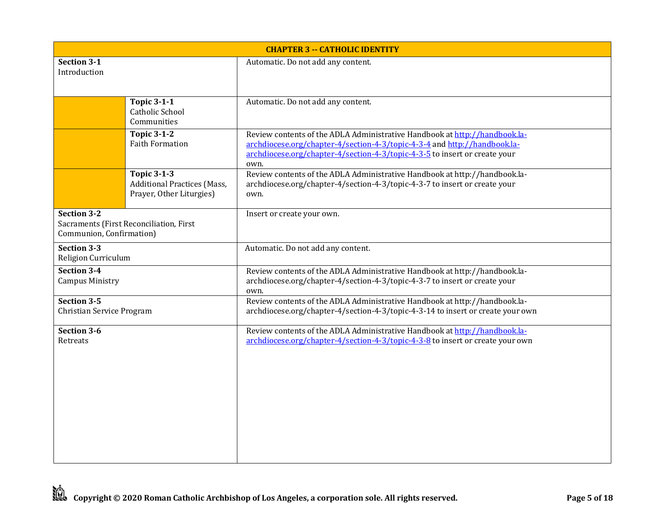| <b>CHAPTER 3 -- CATHOLIC IDENTITY</b>          |                                                                                      |                                                                                                                                                                                                                                               |
|------------------------------------------------|--------------------------------------------------------------------------------------|-----------------------------------------------------------------------------------------------------------------------------------------------------------------------------------------------------------------------------------------------|
| Section 3-1<br>Introduction                    |                                                                                      | Automatic. Do not add any content.                                                                                                                                                                                                            |
|                                                | <b>Topic 3-1-1</b><br>Catholic School<br>Communities                                 | Automatic. Do not add any content.                                                                                                                                                                                                            |
|                                                | <b>Topic 3-1-2</b><br><b>Faith Formation</b>                                         | Review contents of the ADLA Administrative Handbook at http://handbook.la-<br>archdiocese.org/chapter-4/section-4-3/topic-4-3-4 and http://handbook.la-<br>archdiocese.org/chapter-4/section-4-3/topic-4-3-5 to insert or create your<br>own. |
|                                                | <b>Topic 3-1-3</b><br><b>Additional Practices (Mass,</b><br>Prayer, Other Liturgies) | Review contents of the ADLA Administrative Handbook at http://handbook.la-<br>archdiocese.org/chapter-4/section-4-3/topic-4-3-7 to insert or create your<br>own.                                                                              |
| <b>Section 3-2</b><br>Communion, Confirmation) | Sacraments (First Reconciliation, First                                              | Insert or create your own.                                                                                                                                                                                                                    |
| Section 3-3<br>Religion Curriculum             |                                                                                      | Automatic. Do not add any content.                                                                                                                                                                                                            |
| Section 3-4<br><b>Campus Ministry</b>          |                                                                                      | Review contents of the ADLA Administrative Handbook at http://handbook.la-<br>archdiocese.org/chapter-4/section-4-3/topic-4-3-7 to insert or create your<br>own.                                                                              |
| Section 3-5<br>Christian Service Program       |                                                                                      | Review contents of the ADLA Administrative Handbook at http://handbook.la-<br>archdiocese.org/chapter-4/section-4-3/topic-4-3-14 to insert or create your own                                                                                 |
| Section 3-6<br>Retreats                        |                                                                                      | Review contents of the ADLA Administrative Handbook at http://handbook.la-<br>archdiocese.org/chapter-4/section-4-3/topic-4-3-8 to insert or create your own                                                                                  |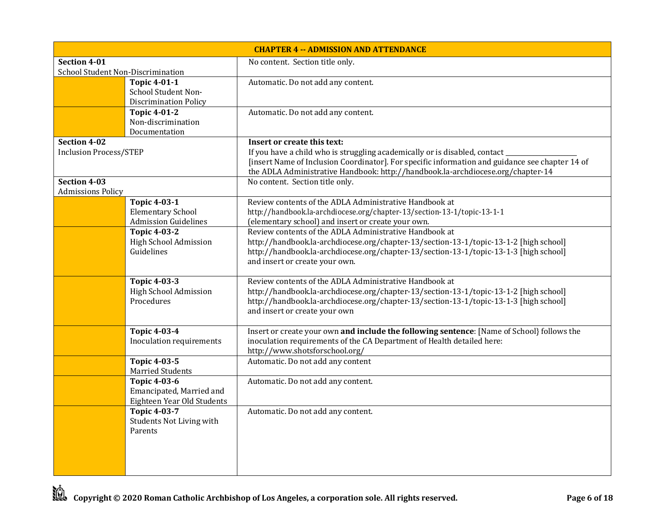| <b>CHAPTER 4 -- ADMISSION AND ATTENDANCE</b> |                              |                                                                                                 |
|----------------------------------------------|------------------------------|-------------------------------------------------------------------------------------------------|
| Section 4-01                                 |                              | No content. Section title only.                                                                 |
| School Student Non-Discrimination            |                              |                                                                                                 |
|                                              | Topic $4-01-1$               | Automatic. Do not add any content.                                                              |
|                                              | School Student Non-          |                                                                                                 |
|                                              | <b>Discrimination Policy</b> |                                                                                                 |
|                                              | <b>Topic 4-01-2</b>          | Automatic. Do not add any content.                                                              |
|                                              | Non-discrimination           |                                                                                                 |
|                                              | Documentation                |                                                                                                 |
| Section 4-02                                 |                              | Insert or create this text:                                                                     |
| <b>Inclusion Process/STEP</b>                |                              | If you have a child who is struggling academically or is disabled, contact                      |
|                                              |                              | [insert Name of Inclusion Coordinator]. For specific information and guidance see chapter 14 of |
|                                              |                              | the ADLA Administrative Handbook: http://handbook.la-archdiocese.org/chapter-14                 |
| Section 4-03<br><b>Admissions Policy</b>     |                              | No content. Section title only.                                                                 |
|                                              | <b>Topic 4-03-1</b>          | Review contents of the ADLA Administrative Handbook at                                          |
|                                              | <b>Elementary School</b>     | http://handbook.la-archdiocese.org/chapter-13/section-13-1/topic-13-1-1                         |
|                                              | <b>Admission Guidelines</b>  | (elementary school) and insert or create your own.                                              |
|                                              | <b>Topic 4-03-2</b>          | Review contents of the ADLA Administrative Handbook at                                          |
|                                              | High School Admission        | http://handbook.la-archdiocese.org/chapter-13/section-13-1/topic-13-1-2 [high school]           |
|                                              | Guidelines                   | http://handbook.la-archdiocese.org/chapter-13/section-13-1/topic-13-1-3 [high school]           |
|                                              |                              | and insert or create your own.                                                                  |
|                                              |                              |                                                                                                 |
|                                              | <b>Topic 4-03-3</b>          | Review contents of the ADLA Administrative Handbook at                                          |
|                                              | High School Admission        | http://handbook.la-archdiocese.org/chapter-13/section-13-1/topic-13-1-2 [high school]           |
|                                              | Procedures                   | http://handbook.la-archdiocese.org/chapter-13/section-13-1/topic-13-1-3 [high school]           |
|                                              |                              | and insert or create your own                                                                   |
|                                              |                              |                                                                                                 |
|                                              | <b>Topic 4-03-4</b>          | Insert or create your own and include the following sentence: [Name of School] follows the      |
|                                              | Inoculation requirements     | inoculation requirements of the CA Department of Health detailed here:                          |
|                                              |                              | http://www.shotsforschool.org/                                                                  |
|                                              | <b>Topic 4-03-5</b>          | Automatic. Do not add any content                                                               |
|                                              | <b>Married Students</b>      |                                                                                                 |
|                                              | <b>Topic 4-03-6</b>          | Automatic. Do not add any content.                                                              |
|                                              | Emancipated, Married and     |                                                                                                 |
|                                              | Eighteen Year Old Students   |                                                                                                 |
|                                              | <b>Topic 4-03-7</b>          | Automatic. Do not add any content.                                                              |
|                                              | Students Not Living with     |                                                                                                 |
|                                              | Parents                      |                                                                                                 |
|                                              |                              |                                                                                                 |
|                                              |                              |                                                                                                 |
|                                              |                              |                                                                                                 |
|                                              |                              |                                                                                                 |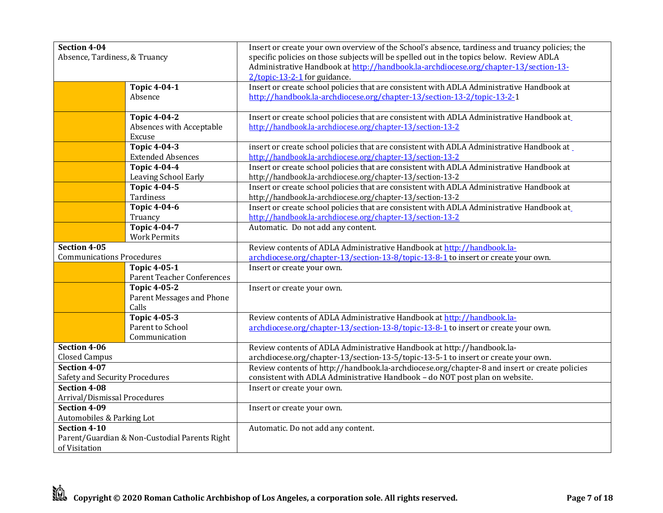| Section 4-04                     |                                               | Insert or create your own overview of the School's absence, tardiness and truancy policies; the |
|----------------------------------|-----------------------------------------------|-------------------------------------------------------------------------------------------------|
| Absence, Tardiness, & Truancy    |                                               | specific policies on those subjects will be spelled out in the topics below. Review ADLA        |
|                                  |                                               | Administrative Handbook at http://handbook.la-archdiocese.org/chapter-13/section-13-            |
|                                  |                                               | 2/topic-13-2-1 for guidance.                                                                    |
|                                  | <b>Topic 4-04-1</b>                           | Insert or create school policies that are consistent with ADLA Administrative Handbook at       |
|                                  | Absence                                       | http://handbook.la-archdiocese.org/chapter-13/section-13-2/topic-13-2-1                         |
|                                  |                                               |                                                                                                 |
|                                  | <b>Topic 4-04-2</b>                           | Insert or create school policies that are consistent with ADLA Administrative Handbook at       |
|                                  | Absences with Acceptable                      | http://handbook.la-archdiocese.org/chapter-13/section-13-2                                      |
|                                  | Excuse                                        |                                                                                                 |
|                                  | <b>Topic 4-04-3</b>                           | insert or create school policies that are consistent with ADLA Administrative Handbook at       |
|                                  | <b>Extended Absences</b>                      | http://handbook.la-archdiocese.org/chapter-13/section-13-2                                      |
|                                  | <b>Topic 4-04-4</b>                           | Insert or create school policies that are consistent with ADLA Administrative Handbook at       |
|                                  | Leaving School Early                          | http://handbook.la-archdiocese.org/chapter-13/section-13-2                                      |
|                                  | <b>Topic 4-04-5</b>                           | Insert or create school policies that are consistent with ADLA Administrative Handbook at       |
|                                  | Tardiness                                     | http://handbook.la-archdiocese.org/chapter-13/section-13-2                                      |
|                                  | <b>Topic 4-04-6</b>                           | Insert or create school policies that are consistent with ADLA Administrative Handbook at       |
|                                  | Truancy                                       | http://handbook.la-archdiocese.org/chapter-13/section-13-2                                      |
|                                  | <b>Topic 4-04-7</b>                           | Automatic. Do not add any content.                                                              |
|                                  | <b>Work Permits</b>                           |                                                                                                 |
| Section 4-05                     |                                               | Review contents of ADLA Administrative Handbook at http://handbook.la-                          |
| <b>Communications Procedures</b> |                                               | archdiocese.org/chapter-13/section-13-8/topic-13-8-1 to insert or create your own.              |
|                                  | <b>Topic 4-05-1</b>                           | Insert or create your own.                                                                      |
|                                  | <b>Parent Teacher Conferences</b>             |                                                                                                 |
|                                  | <b>Topic 4-05-2</b>                           | Insert or create your own.                                                                      |
|                                  | Parent Messages and Phone                     |                                                                                                 |
|                                  | Calls                                         |                                                                                                 |
|                                  | <b>Topic 4-05-3</b>                           | Review contents of ADLA Administrative Handbook at http://handbook.la-                          |
|                                  | Parent to School                              | archdiocese.org/chapter-13/section-13-8/topic-13-8-1 to insert or create your own.              |
|                                  | Communication                                 |                                                                                                 |
| Section 4-06                     |                                               | Review contents of ADLA Administrative Handbook at http://handbook.la-                          |
| <b>Closed Campus</b>             |                                               | archdiocese.org/chapter-13/section-13-5/topic-13-5-1 to insert or create your own.              |
| Section 4-07                     |                                               | Review contents of http://handbook.la-archdiocese.org/chapter-8 and insert or create policies   |
| Safety and Security Procedures   |                                               | consistent with ADLA Administrative Handbook - do NOT post plan on website.                     |
| <b>Section 4-08</b>              |                                               | Insert or create your own.                                                                      |
| Arrival/Dismissal Procedures     |                                               |                                                                                                 |
| Section 4-09                     |                                               | Insert or create your own.                                                                      |
| Automobiles & Parking Lot        |                                               |                                                                                                 |
| Section 4-10                     |                                               | Automatic. Do not add any content.                                                              |
|                                  | Parent/Guardian & Non-Custodial Parents Right |                                                                                                 |
| of Visitation                    |                                               |                                                                                                 |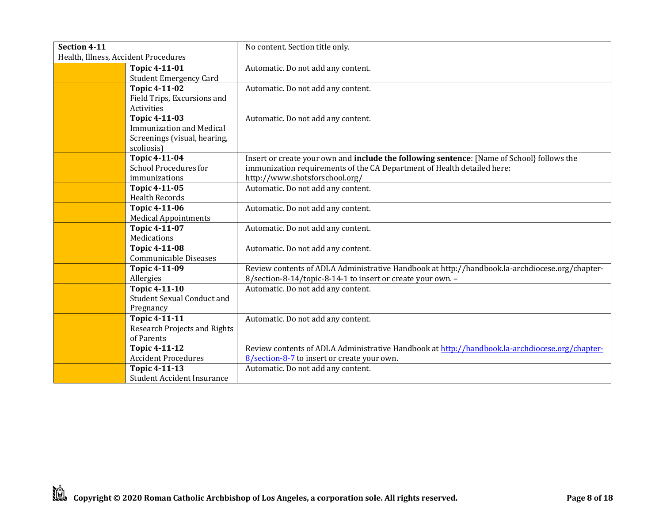| Section 4-11                         |                                     | No content. Section title only.                                                                    |
|--------------------------------------|-------------------------------------|----------------------------------------------------------------------------------------------------|
| Health, Illness, Accident Procedures |                                     |                                                                                                    |
|                                      | Topic 4-11-01                       | Automatic. Do not add any content.                                                                 |
|                                      | <b>Student Emergency Card</b>       |                                                                                                    |
|                                      | <b>Topic 4-11-02</b>                | Automatic. Do not add any content.                                                                 |
|                                      | Field Trips, Excursions and         |                                                                                                    |
|                                      | Activities                          |                                                                                                    |
|                                      | <b>Topic 4-11-03</b>                | Automatic. Do not add any content.                                                                 |
|                                      | <b>Immunization and Medical</b>     |                                                                                                    |
|                                      | Screenings (visual, hearing,        |                                                                                                    |
|                                      | scoliosis)                          |                                                                                                    |
|                                      | Topic 4-11-04                       | Insert or create your own and <b>include the following sentence</b> : [Name of School] follows the |
|                                      | <b>School Procedures for</b>        | immunization requirements of the CA Department of Health detailed here:                            |
|                                      | immunizations                       | http://www.shotsforschool.org/                                                                     |
|                                      | Topic 4-11-05                       | Automatic. Do not add any content.                                                                 |
|                                      | <b>Health Records</b>               |                                                                                                    |
|                                      | <b>Topic 4-11-06</b>                | Automatic. Do not add any content.                                                                 |
|                                      | <b>Medical Appointments</b>         |                                                                                                    |
|                                      | <b>Topic 4-11-07</b>                | Automatic. Do not add any content.                                                                 |
|                                      | Medications                         |                                                                                                    |
|                                      | <b>Topic 4-11-08</b>                | Automatic. Do not add any content.                                                                 |
|                                      | Communicable Diseases               |                                                                                                    |
|                                      | Topic 4-11-09                       | Review contents of ADLA Administrative Handbook at http://handbook.la-archdiocese.org/chapter-     |
|                                      | Allergies                           | 8/section-8-14/topic-8-14-1 to insert or create your own. -                                        |
|                                      | <b>Topic 4-11-10</b>                | Automatic. Do not add any content.                                                                 |
|                                      | <b>Student Sexual Conduct and</b>   |                                                                                                    |
|                                      | Pregnancy                           |                                                                                                    |
|                                      | Topic 4-11-11                       | Automatic. Do not add any content.                                                                 |
|                                      | <b>Research Projects and Rights</b> |                                                                                                    |
|                                      | of Parents                          |                                                                                                    |
|                                      | <b>Topic 4-11-12</b>                | Review contents of ADLA Administrative Handbook at http://handbook.la-archdiocese.org/chapter-     |
|                                      | <b>Accident Procedures</b>          | 8/section-8-7 to insert or create your own.                                                        |
|                                      | <b>Topic 4-11-13</b>                | Automatic. Do not add any content.                                                                 |
|                                      | <b>Student Accident Insurance</b>   |                                                                                                    |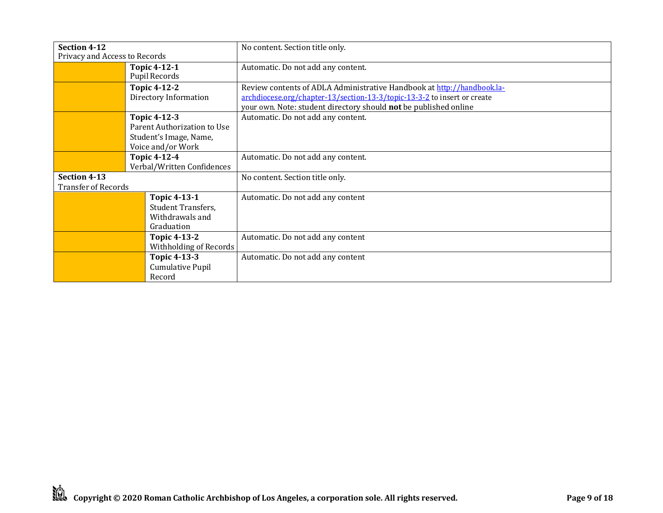| Section 4-12<br>Privacy and Access to Records |                                                                                                   | No content. Section title only.                                                                                                                                                                                        |
|-----------------------------------------------|---------------------------------------------------------------------------------------------------|------------------------------------------------------------------------------------------------------------------------------------------------------------------------------------------------------------------------|
|                                               | Topic 4-12-1<br><b>Pupil Records</b>                                                              | Automatic. Do not add any content.                                                                                                                                                                                     |
|                                               | <b>Topic 4-12-2</b><br>Directory Information                                                      | Review contents of ADLA Administrative Handbook at http://handbook.la-<br>archdiocese.org/chapter-13/section-13-3/topic-13-3-2 to insert or create<br>your own. Note: student directory should not be published online |
|                                               | <b>Topic 4-12-3</b><br>Parent Authorization to Use<br>Student's Image, Name,<br>Voice and/or Work | Automatic. Do not add any content.                                                                                                                                                                                     |
|                                               | <b>Topic 4-12-4</b><br>Verbal/Written Confidences                                                 | Automatic. Do not add any content.                                                                                                                                                                                     |
| Section 4-13<br><b>Transfer of Records</b>    |                                                                                                   | No content. Section title only.                                                                                                                                                                                        |
|                                               | <b>Topic 4-13-1</b><br><b>Student Transfers,</b><br>Withdrawals and<br>Graduation                 | Automatic. Do not add any content                                                                                                                                                                                      |
|                                               | Topic 4-13-2<br>Withholding of Records                                                            | Automatic. Do not add any content                                                                                                                                                                                      |
|                                               | <b>Topic 4-13-3</b><br><b>Cumulative Pupil</b><br>Record                                          | Automatic. Do not add any content                                                                                                                                                                                      |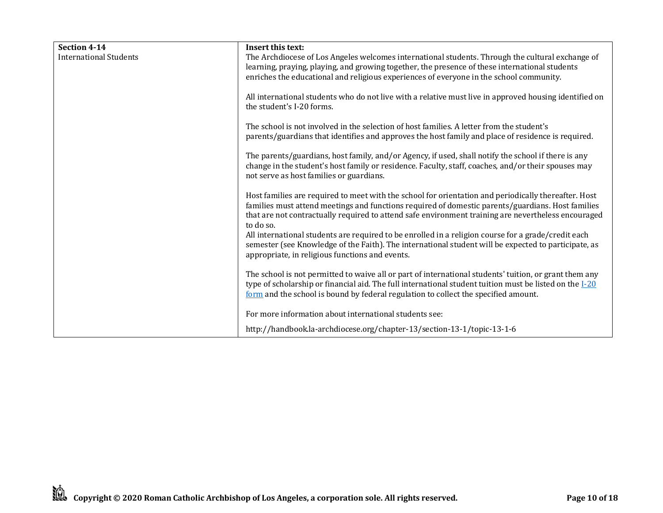| Section 4-14<br>International Students | Insert this text:<br>The Archdiocese of Los Angeles welcomes international students. Through the cultural exchange of                                                                                                                                                                                                         |
|----------------------------------------|-------------------------------------------------------------------------------------------------------------------------------------------------------------------------------------------------------------------------------------------------------------------------------------------------------------------------------|
|                                        | learning, praying, playing, and growing together, the presence of these international students<br>enriches the educational and religious experiences of everyone in the school community.                                                                                                                                     |
|                                        | All international students who do not live with a relative must live in approved housing identified on<br>the student's I-20 forms.                                                                                                                                                                                           |
|                                        | The school is not involved in the selection of host families. A letter from the student's<br>parents/guardians that identifies and approves the host family and place of residence is required.                                                                                                                               |
|                                        | The parents/guardians, host family, and/or Agency, if used, shall notify the school if there is any<br>change in the student's host family or residence. Faculty, staff, coaches, and/or their spouses may<br>not serve as host families or guardians.                                                                        |
|                                        | Host families are required to meet with the school for orientation and periodically thereafter. Host<br>families must attend meetings and functions required of domestic parents/guardians. Host families<br>that are not contractually required to attend safe environment training are nevertheless encouraged<br>to do so. |
|                                        | All international students are required to be enrolled in a religion course for a grade/credit each<br>semester (see Knowledge of the Faith). The international student will be expected to participate, as<br>appropriate, in religious functions and events.                                                                |
|                                        | The school is not permitted to waive all or part of international students' tuition, or grant them any<br>type of scholarship or financial aid. The full international student tuition must be listed on the $I-20$<br>form and the school is bound by federal regulation to collect the specified amount.                    |
|                                        | For more information about international students see:                                                                                                                                                                                                                                                                        |
|                                        | http://handbook.la-archdiocese.org/chapter-13/section-13-1/topic-13-1-6                                                                                                                                                                                                                                                       |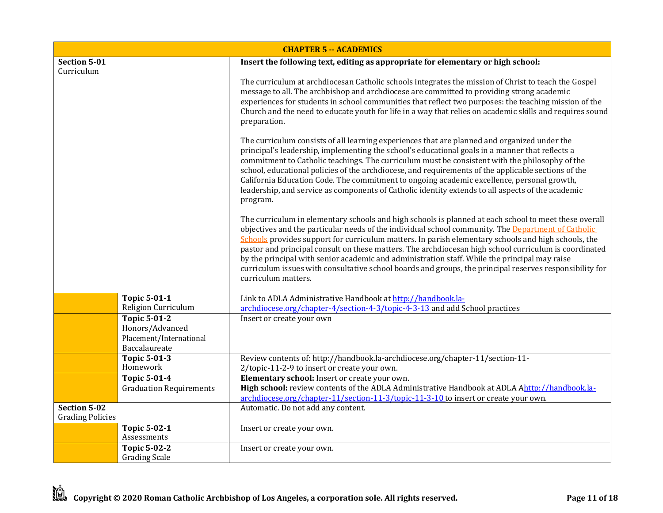| <b>CHAPTER 5 -- ACADEMICS</b>                  |                                                             |                                                                                                                                                                                                                                                                                                                                                                                                                                                                                                                                                                                                                                                                |
|------------------------------------------------|-------------------------------------------------------------|----------------------------------------------------------------------------------------------------------------------------------------------------------------------------------------------------------------------------------------------------------------------------------------------------------------------------------------------------------------------------------------------------------------------------------------------------------------------------------------------------------------------------------------------------------------------------------------------------------------------------------------------------------------|
| Section 5-01                                   |                                                             | Insert the following text, editing as appropriate for elementary or high school:                                                                                                                                                                                                                                                                                                                                                                                                                                                                                                                                                                               |
| Curriculum                                     |                                                             | The curriculum at archdiocesan Catholic schools integrates the mission of Christ to teach the Gospel<br>message to all. The archbishop and archdiocese are committed to providing strong academic<br>experiences for students in school communities that reflect two purposes: the teaching mission of the<br>Church and the need to educate youth for life in a way that relies on academic skills and requires sound<br>preparation.                                                                                                                                                                                                                         |
|                                                |                                                             | The curriculum consists of all learning experiences that are planned and organized under the<br>principal's leadership, implementing the school's educational goals in a manner that reflects a<br>commitment to Catholic teachings. The curriculum must be consistent with the philosophy of the<br>school, educational policies of the archdiocese, and requirements of the applicable sections of the<br>California Education Code. The commitment to ongoing academic excellence, personal growth,<br>leadership, and service as components of Catholic identity extends to all aspects of the academic<br>program.                                        |
|                                                |                                                             | The curriculum in elementary schools and high schools is planned at each school to meet these overall<br>objectives and the particular needs of the individual school community. The Department of Catholic<br>Schools provides support for curriculum matters. In parish elementary schools and high schools, the<br>pastor and principal consult on these matters. The archdiocesan high school curriculum is coordinated<br>by the principal with senior academic and administration staff. While the principal may raise<br>curriculum issues with consultative school boards and groups, the principal reserves responsibility for<br>curriculum matters. |
|                                                | <b>Topic 5-01-1</b><br>Religion Curriculum                  | Link to ADLA Administrative Handbook at http://handbook.la-<br>archdiocese.org/chapter-4/section-4-3/topic-4-3-13 and add School practices                                                                                                                                                                                                                                                                                                                                                                                                                                                                                                                     |
|                                                | <b>Topic 5-01-2</b>                                         | Insert or create your own                                                                                                                                                                                                                                                                                                                                                                                                                                                                                                                                                                                                                                      |
|                                                | Honors/Advanced<br>Placement/International<br>Baccalaureate |                                                                                                                                                                                                                                                                                                                                                                                                                                                                                                                                                                                                                                                                |
|                                                | <b>Topic 5-01-3</b>                                         | Review contents of: http://handbook.la-archdiocese.org/chapter-11/section-11-                                                                                                                                                                                                                                                                                                                                                                                                                                                                                                                                                                                  |
|                                                | Homework                                                    | 2/topic-11-2-9 to insert or create your own.                                                                                                                                                                                                                                                                                                                                                                                                                                                                                                                                                                                                                   |
|                                                | <b>Topic 5-01-4</b><br><b>Graduation Requirements</b>       | Elementary school: Insert or create your own.<br>High school: review contents of the ADLA Administrative Handbook at ADLA Ahttp://handbook.la-                                                                                                                                                                                                                                                                                                                                                                                                                                                                                                                 |
|                                                |                                                             | archdiocese.org/chapter-11/section-11-3/topic-11-3-10 to insert or create your own.                                                                                                                                                                                                                                                                                                                                                                                                                                                                                                                                                                            |
| <b>Section 5-02</b><br><b>Grading Policies</b> |                                                             | Automatic. Do not add any content.                                                                                                                                                                                                                                                                                                                                                                                                                                                                                                                                                                                                                             |
|                                                | <b>Topic 5-02-1</b><br>Assessments                          | Insert or create your own.                                                                                                                                                                                                                                                                                                                                                                                                                                                                                                                                                                                                                                     |
|                                                | <b>Topic 5-02-2</b><br><b>Grading Scale</b>                 | Insert or create your own.                                                                                                                                                                                                                                                                                                                                                                                                                                                                                                                                                                                                                                     |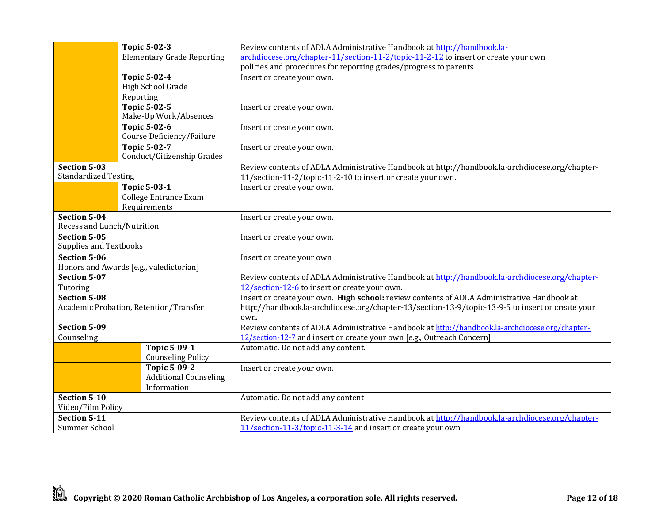|                               | <b>Topic 5-02-3</b>                               | Review contents of ADLA Administrative Handbook at http://handbook.la-                           |
|-------------------------------|---------------------------------------------------|--------------------------------------------------------------------------------------------------|
|                               | <b>Elementary Grade Reporting</b>                 | archdiocese.org/chapter-11/section-11-2/topic-11-2-12 to insert or create your own               |
|                               |                                                   | policies and procedures for reporting grades/progress to parents                                 |
|                               | <b>Topic 5-02-4</b>                               | Insert or create your own.                                                                       |
|                               | High School Grade                                 |                                                                                                  |
|                               | Reporting                                         |                                                                                                  |
|                               | <b>Topic 5-02-5</b><br>Make-Up Work/Absences      | Insert or create your own.                                                                       |
|                               | <b>Topic 5-02-6</b><br>Course Deficiency/Failure  | Insert or create your own.                                                                       |
|                               | <b>Topic 5-02-7</b><br>Conduct/Citizenship Grades | Insert or create your own.                                                                       |
| <b>Section 5-03</b>           |                                                   | Review contents of ADLA Administrative Handbook at http://handbook.la-archdiocese.org/chapter-   |
| <b>Standardized Testing</b>   |                                                   | 11/section-11-2/topic-11-2-10 to insert or create your own.                                      |
|                               | <b>Topic 5-03-1</b>                               | Insert or create your own.                                                                       |
|                               | College Entrance Exam                             |                                                                                                  |
| <b>Section 5-04</b>           | Requirements                                      |                                                                                                  |
| Recess and Lunch/Nutrition    |                                                   | Insert or create your own.                                                                       |
| <b>Section 5-05</b>           |                                                   | Insert or create your own.                                                                       |
| <b>Supplies and Textbooks</b> |                                                   |                                                                                                  |
| <b>Section 5-06</b>           |                                                   | Insert or create your own                                                                        |
|                               | Honors and Awards [e.g., valedictorian]           |                                                                                                  |
| <b>Section 5-07</b>           |                                                   | Review contents of ADLA Administrative Handbook at http://handbook.la-archdiocese.org/chapter-   |
| Tutoring                      |                                                   | 12/section-12-6 to insert or create your own.                                                    |
| <b>Section 5-08</b>           |                                                   | Insert or create your own. High school: review contents of ADLA Administrative Handbook at       |
|                               | Academic Probation, Retention/Transfer            | http://handbook.la-archdiocese.org/chapter-13/section-13-9/topic-13-9-5 to insert or create your |
|                               |                                                   | own.                                                                                             |
| <b>Section 5-09</b>           |                                                   | Review contents of ADLA Administrative Handbook at http://handbook.la-archdiocese.org/chapter-   |
| Counseling                    | <b>Topic 5-09-1</b>                               | 12/section-12-7 and insert or create your own [e.g., Outreach Concern]                           |
|                               | <b>Counseling Policy</b>                          | Automatic. Do not add any content.                                                               |
|                               | <b>Topic 5-09-2</b>                               | Insert or create your own.                                                                       |
|                               | <b>Additional Counseling</b>                      |                                                                                                  |
|                               | Information                                       |                                                                                                  |
| Section 5-10                  |                                                   | Automatic. Do not add any content                                                                |
| Video/Film Policy             |                                                   |                                                                                                  |
| <b>Section 5-11</b>           |                                                   | Review contents of ADLA Administrative Handbook at http://handbook.la-archdiocese.org/chapter-   |
| Summer School                 |                                                   | 11/section-11-3/topic-11-3-14 and insert or create your own                                      |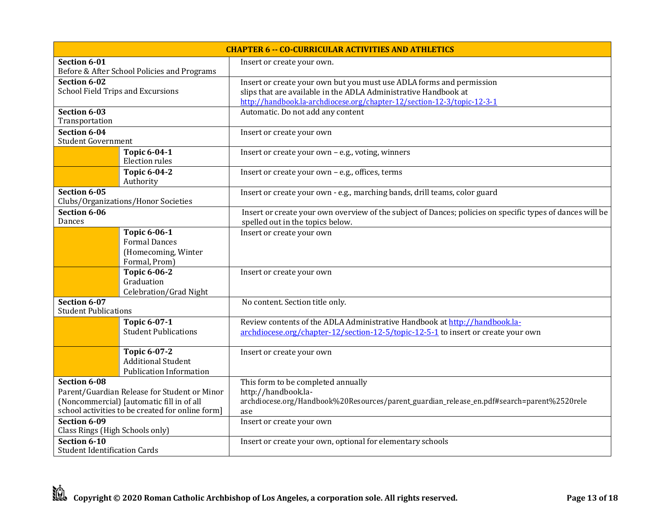| <b>CHAPTER 6 -- CO-CURRICULAR ACTIVITIES AND ATHLETICS</b> |                                                                                               |                                                                                                                                            |
|------------------------------------------------------------|-----------------------------------------------------------------------------------------------|--------------------------------------------------------------------------------------------------------------------------------------------|
| Section 6-01                                               |                                                                                               | Insert or create your own.                                                                                                                 |
|                                                            | Before & After School Policies and Programs                                                   |                                                                                                                                            |
| Section 6-02                                               |                                                                                               | Insert or create your own but you must use ADLA forms and permission                                                                       |
| School Field Trips and Excursions                          |                                                                                               | slips that are available in the ADLA Administrative Handbook at<br>http://handbook.la-archdiocese.org/chapter-12/section-12-3/topic-12-3-1 |
| Section 6-03                                               |                                                                                               | Automatic. Do not add any content                                                                                                          |
| Transportation                                             |                                                                                               |                                                                                                                                            |
| Section 6-04                                               |                                                                                               | Insert or create your own                                                                                                                  |
| <b>Student Government</b>                                  |                                                                                               |                                                                                                                                            |
|                                                            | <b>Topic 6-04-1</b><br>Election rules                                                         | Insert or create your own - e.g., voting, winners                                                                                          |
|                                                            | <b>Topic 6-04-2</b><br>Authority                                                              | Insert or create your own - e.g., offices, terms                                                                                           |
| Section 6-05                                               |                                                                                               | Insert or create your own - e.g., marching bands, drill teams, color guard                                                                 |
|                                                            | Clubs/Organizations/Honor Societies                                                           |                                                                                                                                            |
| Section 6-06                                               |                                                                                               | Insert or create your own overview of the subject of Dances; policies on specific types of dances will be                                  |
| Dances                                                     |                                                                                               | spelled out in the topics below.                                                                                                           |
|                                                            | <b>Topic 6-06-1</b>                                                                           | Insert or create your own                                                                                                                  |
|                                                            | <b>Formal Dances</b>                                                                          |                                                                                                                                            |
|                                                            | (Homecoming, Winter<br>Formal, Prom)                                                          |                                                                                                                                            |
|                                                            | <b>Topic 6-06-2</b>                                                                           | Insert or create your own                                                                                                                  |
|                                                            | Graduation                                                                                    |                                                                                                                                            |
|                                                            | Celebration/Grad Night                                                                        |                                                                                                                                            |
| Section 6-07<br><b>Student Publications</b>                |                                                                                               | No content. Section title only.                                                                                                            |
|                                                            | <b>Topic 6-07-1</b>                                                                           | Review contents of the ADLA Administrative Handbook at http://handbook.la-                                                                 |
|                                                            | <b>Student Publications</b>                                                                   | archdiocese.org/chapter-12/section-12-5/topic-12-5-1 to insert or create your own                                                          |
|                                                            |                                                                                               |                                                                                                                                            |
|                                                            | <b>Topic 6-07-2</b>                                                                           | Insert or create your own                                                                                                                  |
|                                                            | <b>Additional Student</b>                                                                     |                                                                                                                                            |
|                                                            | <b>Publication Information</b>                                                                |                                                                                                                                            |
| Section 6-08                                               |                                                                                               | This form to be completed annually                                                                                                         |
|                                                            | Parent/Guardian Release for Student or Minor                                                  | http://handbook.la-                                                                                                                        |
|                                                            | (Noncommercial) [automatic fill in of all<br>school activities to be created for online form] | archdiocese.org/Handbook%20Resources/parent_guardian_release_en.pdf#search=parent%2520rele                                                 |
| Section 6-09                                               |                                                                                               | ase<br>Insert or create your own                                                                                                           |
| Class Rings (High Schools only)                            |                                                                                               |                                                                                                                                            |
| Section 6-10                                               |                                                                                               | Insert or create your own, optional for elementary schools                                                                                 |
| <b>Student Identification Cards</b>                        |                                                                                               |                                                                                                                                            |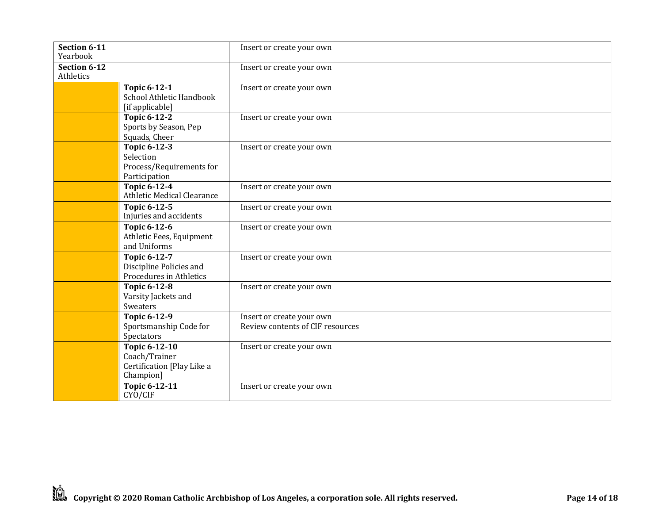| Section 6-11<br>Yearbook  |                                                                                  | Insert or create your own                                     |
|---------------------------|----------------------------------------------------------------------------------|---------------------------------------------------------------|
| Section 6-12<br>Athletics |                                                                                  | Insert or create your own                                     |
|                           | <b>Topic 6-12-1</b><br>School Athletic Handbook<br>[if applicable]               | Insert or create your own                                     |
|                           | <b>Topic 6-12-2</b><br>Sports by Season, Pep<br>Squads, Cheer                    | Insert or create your own                                     |
|                           | <b>Topic 6-12-3</b><br>Selection<br>Process/Requirements for<br>Participation    | Insert or create your own                                     |
|                           | <b>Topic 6-12-4</b><br>Athletic Medical Clearance                                | Insert or create your own                                     |
|                           | <b>Topic 6-12-5</b><br>Injuries and accidents                                    | Insert or create your own                                     |
|                           | Topic 6-12-6<br>Athletic Fees, Equipment<br>and Uniforms                         | Insert or create your own                                     |
|                           | <b>Topic 6-12-7</b><br>Discipline Policies and<br>Procedures in Athletics        | Insert or create your own                                     |
|                           | <b>Topic 6-12-8</b><br>Varsity Jackets and<br>Sweaters                           | Insert or create your own                                     |
|                           | <b>Topic 6-12-9</b><br>Sportsmanship Code for<br>Spectators                      | Insert or create your own<br>Review contents of CIF resources |
|                           | <b>Topic 6-12-10</b><br>Coach/Trainer<br>Certification [Play Like a<br>Champion] | Insert or create your own                                     |
|                           | Topic 6-12-11<br>CYO/CIF                                                         | Insert or create your own                                     |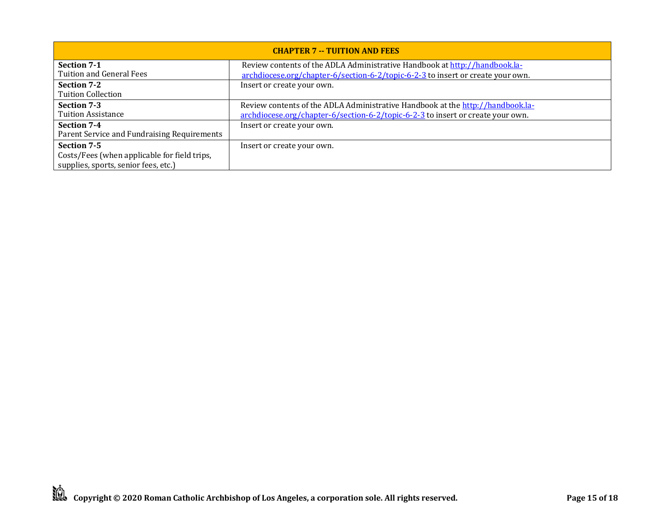| <b>CHAPTER 7 -- TUITION AND FEES</b>         |                                                                                 |  |
|----------------------------------------------|---------------------------------------------------------------------------------|--|
| Section 7-1                                  | Review contents of the ADLA Administrative Handbook at http://handbook.la-      |  |
| Tuition and General Fees                     | archdiocese.org/chapter-6/section-6-2/topic-6-2-3 to insert or create your own. |  |
| Section 7-2                                  | Insert or create your own.                                                      |  |
| <b>Tuition Collection</b>                    |                                                                                 |  |
| Section 7-3                                  | Review contents of the ADLA Administrative Handbook at the http://handbook.la-  |  |
| <b>Tuition Assistance</b>                    | archdiocese.org/chapter-6/section-6-2/topic-6-2-3 to insert or create your own. |  |
| <b>Section 7-4</b>                           | Insert or create your own.                                                      |  |
| Parent Service and Fundraising Requirements  |                                                                                 |  |
| Section 7-5                                  | Insert or create your own.                                                      |  |
| Costs/Fees (when applicable for field trips, |                                                                                 |  |
| supplies, sports, senior fees, etc.)         |                                                                                 |  |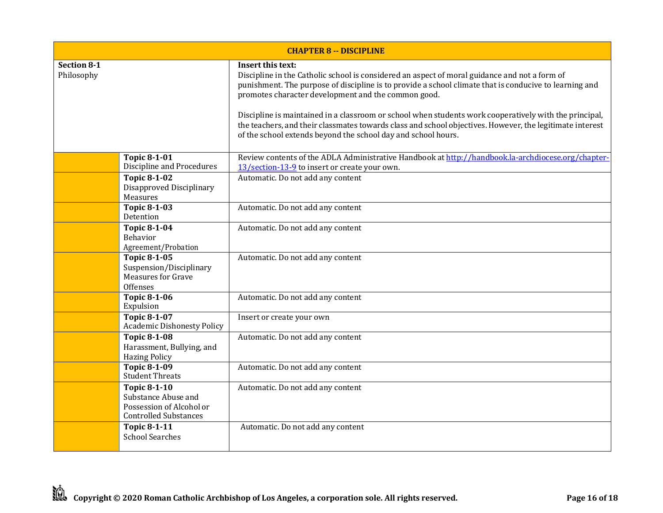| <b>CHAPTER 8 -- DISCIPLINE</b>   |                                                                                                        |                                                                                                                                                                                                                                                                                                                                                                                                                                                                                                                                                                            |  |
|----------------------------------|--------------------------------------------------------------------------------------------------------|----------------------------------------------------------------------------------------------------------------------------------------------------------------------------------------------------------------------------------------------------------------------------------------------------------------------------------------------------------------------------------------------------------------------------------------------------------------------------------------------------------------------------------------------------------------------------|--|
| <b>Section 8-1</b><br>Philosophy |                                                                                                        | Insert this text:<br>Discipline in the Catholic school is considered an aspect of moral guidance and not a form of<br>punishment. The purpose of discipline is to provide a school climate that is conducive to learning and<br>promotes character development and the common good.<br>Discipline is maintained in a classroom or school when students work cooperatively with the principal,<br>the teachers, and their classmates towards class and school objectives. However, the legitimate interest<br>of the school extends beyond the school day and school hours. |  |
|                                  | <b>Topic 8-1-01</b><br>Discipline and Procedures                                                       | Review contents of the ADLA Administrative Handbook at http://handbook.la-archdiocese.org/chapter-<br>13/section-13-9 to insert or create your own.                                                                                                                                                                                                                                                                                                                                                                                                                        |  |
|                                  | <b>Topic 8-1-02</b><br>Disapproved Disciplinary<br>Measures                                            | Automatic. Do not add any content                                                                                                                                                                                                                                                                                                                                                                                                                                                                                                                                          |  |
|                                  | <b>Topic 8-1-03</b><br>Detention                                                                       | Automatic. Do not add any content                                                                                                                                                                                                                                                                                                                                                                                                                                                                                                                                          |  |
|                                  | <b>Topic 8-1-04</b><br>Behavior<br>Agreement/Probation                                                 | Automatic. Do not add any content                                                                                                                                                                                                                                                                                                                                                                                                                                                                                                                                          |  |
|                                  | <b>Topic 8-1-05</b><br>Suspension/Disciplinary<br><b>Measures for Grave</b><br><b>Offenses</b>         | Automatic. Do not add any content                                                                                                                                                                                                                                                                                                                                                                                                                                                                                                                                          |  |
|                                  | <b>Topic 8-1-06</b><br>Expulsion                                                                       | Automatic. Do not add any content                                                                                                                                                                                                                                                                                                                                                                                                                                                                                                                                          |  |
|                                  | <b>Topic 8-1-07</b><br><b>Academic Dishonesty Policy</b>                                               | Insert or create your own                                                                                                                                                                                                                                                                                                                                                                                                                                                                                                                                                  |  |
|                                  | <b>Topic 8-1-08</b><br>Harassment, Bullying, and<br><b>Hazing Policy</b>                               | Automatic. Do not add any content                                                                                                                                                                                                                                                                                                                                                                                                                                                                                                                                          |  |
|                                  | <b>Topic 8-1-09</b><br><b>Student Threats</b>                                                          | Automatic. Do not add any content                                                                                                                                                                                                                                                                                                                                                                                                                                                                                                                                          |  |
|                                  | <b>Topic 8-1-10</b><br>Substance Abuse and<br>Possession of Alcohol or<br><b>Controlled Substances</b> | Automatic. Do not add any content                                                                                                                                                                                                                                                                                                                                                                                                                                                                                                                                          |  |
|                                  | <b>Topic 8-1-11</b><br><b>School Searches</b>                                                          | Automatic. Do not add any content                                                                                                                                                                                                                                                                                                                                                                                                                                                                                                                                          |  |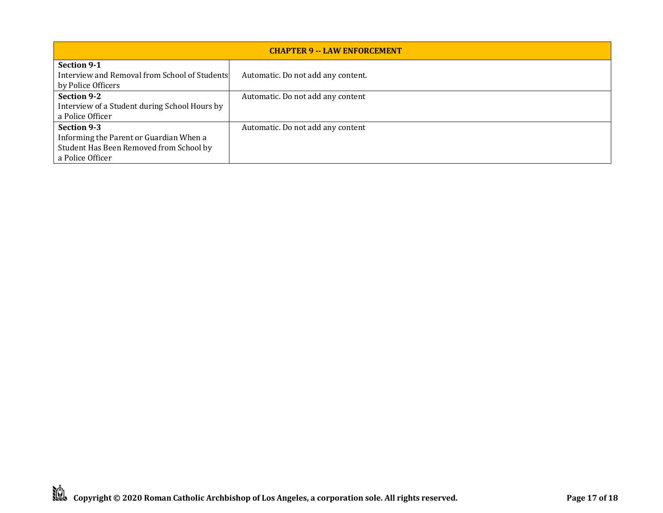| <b>CHAPTER 9 -- LAW ENFORCEMENT</b>                                                       |                                    |  |
|-------------------------------------------------------------------------------------------|------------------------------------|--|
| <b>Section 9-1</b><br>Interview and Removal from School of Students<br>by Police Officers | Automatic. Do not add any content. |  |
| Section 9-2                                                                               | Automatic. Do not add any content  |  |
| Interview of a Student during School Hours by                                             |                                    |  |
| a Police Officer                                                                          |                                    |  |
| Section 9-3                                                                               | Automatic. Do not add any content  |  |
| Informing the Parent or Guardian When a                                                   |                                    |  |
| Student Has Been Removed from School by                                                   |                                    |  |
| a Police Officer                                                                          |                                    |  |